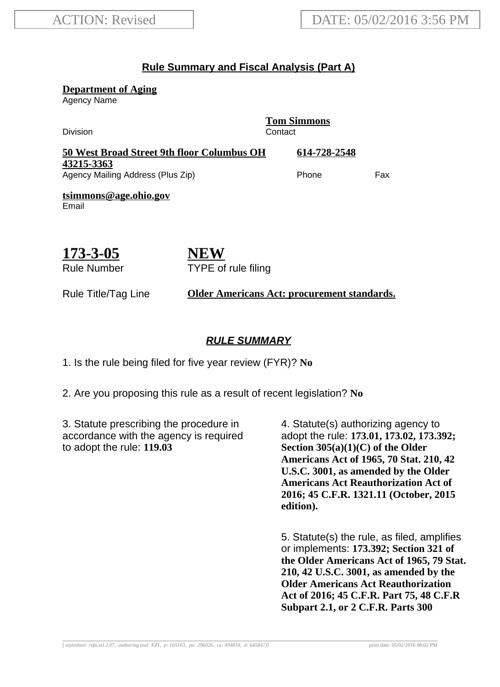### **Rule Summary and Fiscal Analysis (Part A)**

**Department of Aging**

Agency Name

| <b>Division</b>                                   | <b>Tom Simmons</b><br>Contact |     |
|---------------------------------------------------|-------------------------------|-----|
| <b>50 West Broad Street 9th floor Columbus OH</b> | 614-728-2548                  |     |
| 43215-3363<br>Agency Mailing Address (Plus Zip)   | Phone                         | Fax |
| <u>tsimmons@age.ohio.gov</u><br>Email             |                               |     |
|                                                   |                               |     |

**173-3-05** Rule Number

**NEW** TYPE of rule filing

Rule Title/Tag Line **Older Americans Act: procurement standards.**

#### **RULE SUMMARY**

1. Is the rule being filed for five year review (FYR)? **No**

2. Are you proposing this rule as a result of recent legislation? **No**

3. Statute prescribing the procedure in accordance with the agency is required to adopt the rule: **119.03**

4. Statute(s) authorizing agency to adopt the rule: **173.01, 173.02, 173.392; Section 305(a)(1)(C) of the Older Americans Act of 1965, 70 Stat. 210, 42 U.S.C. 3001, as amended by the Older Americans Act Reauthorization Act of 2016; 45 C.F.R. 1321.11 (October, 2015 edition).**

5. Statute(s) the rule, as filed, amplifies or implements: **173.392; Section 321 of the Older Americans Act of 1965, 79 Stat. 210, 42 U.S.C. 3001, as amended by the Older Americans Act Reauthorization Act of 2016; 45 C.F.R. Part 75, 48 C.F.R Subpart 2.1, or 2 C.F.R. Parts 300**

[ *stylesheet: rsfa.xsl 2.07, authoring tool: EZ1, p: 165163, pa: 296026, ra: 494818, d: 645847)*] print date: 05/02/2016 08:02 PM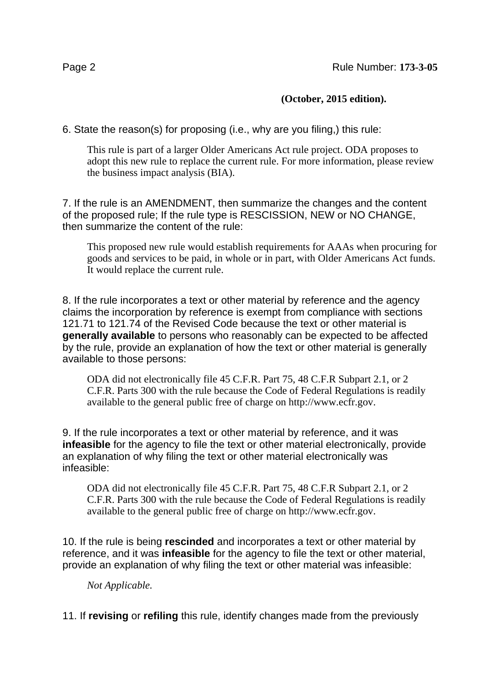### **(October, 2015 edition).**

6. State the reason(s) for proposing (i.e., why are you filing,) this rule:

This rule is part of a larger Older Americans Act rule project. ODA proposes to adopt this new rule to replace the current rule. For more information, please review the business impact analysis (BIA).

7. If the rule is an AMENDMENT, then summarize the changes and the content of the proposed rule; If the rule type is RESCISSION, NEW or NO CHANGE, then summarize the content of the rule:

This proposed new rule would establish requirements for AAAs when procuring for goods and services to be paid, in whole or in part, with Older Americans Act funds. It would replace the current rule.

8. If the rule incorporates a text or other material by reference and the agency claims the incorporation by reference is exempt from compliance with sections 121.71 to 121.74 of the Revised Code because the text or other material is **generally available** to persons who reasonably can be expected to be affected by the rule, provide an explanation of how the text or other material is generally available to those persons:

ODA did not electronically file 45 C.F.R. Part 75, 48 C.F.R Subpart 2.1, or 2 C.F.R. Parts 300 with the rule because the Code of Federal Regulations is readily available to the general public free of charge on http://www.ecfr.gov.

9. If the rule incorporates a text or other material by reference, and it was **infeasible** for the agency to file the text or other material electronically, provide an explanation of why filing the text or other material electronically was infeasible:

ODA did not electronically file 45 C.F.R. Part 75, 48 C.F.R Subpart 2.1, or 2 C.F.R. Parts 300 with the rule because the Code of Federal Regulations is readily available to the general public free of charge on http://www.ecfr.gov.

10. If the rule is being **rescinded** and incorporates a text or other material by reference, and it was **infeasible** for the agency to file the text or other material, provide an explanation of why filing the text or other material was infeasible:

*Not Applicable.*

11. If **revising** or **refiling** this rule, identify changes made from the previously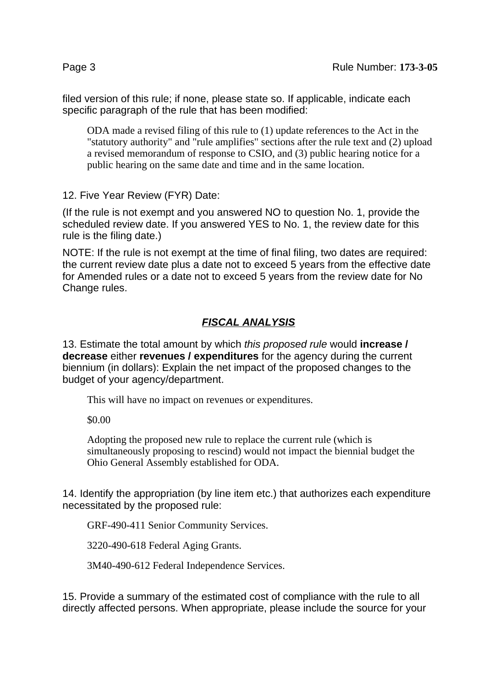filed version of this rule; if none, please state so. If applicable, indicate each specific paragraph of the rule that has been modified:

ODA made a revised filing of this rule to (1) update references to the Act in the "statutory authority" and "rule amplifies" sections after the rule text and (2) upload a revised memorandum of response to CSIO, and (3) public hearing notice for a public hearing on the same date and time and in the same location.

12. Five Year Review (FYR) Date:

(If the rule is not exempt and you answered NO to question No. 1, provide the scheduled review date. If you answered YES to No. 1, the review date for this rule is the filing date.)

NOTE: If the rule is not exempt at the time of final filing, two dates are required: the current review date plus a date not to exceed 5 years from the effective date for Amended rules or a date not to exceed 5 years from the review date for No Change rules.

# **FISCAL ANALYSIS**

13. Estimate the total amount by which this proposed rule would **increase / decrease** either **revenues / expenditures** for the agency during the current biennium (in dollars): Explain the net impact of the proposed changes to the budget of your agency/department.

This will have no impact on revenues or expenditures.

\$0.00

Adopting the proposed new rule to replace the current rule (which is simultaneously proposing to rescind) would not impact the biennial budget the Ohio General Assembly established for ODA.

14. Identify the appropriation (by line item etc.) that authorizes each expenditure necessitated by the proposed rule:

GRF-490-411 Senior Community Services.

3220-490-618 Federal Aging Grants.

3M40-490-612 Federal Independence Services.

15. Provide a summary of the estimated cost of compliance with the rule to all directly affected persons. When appropriate, please include the source for your